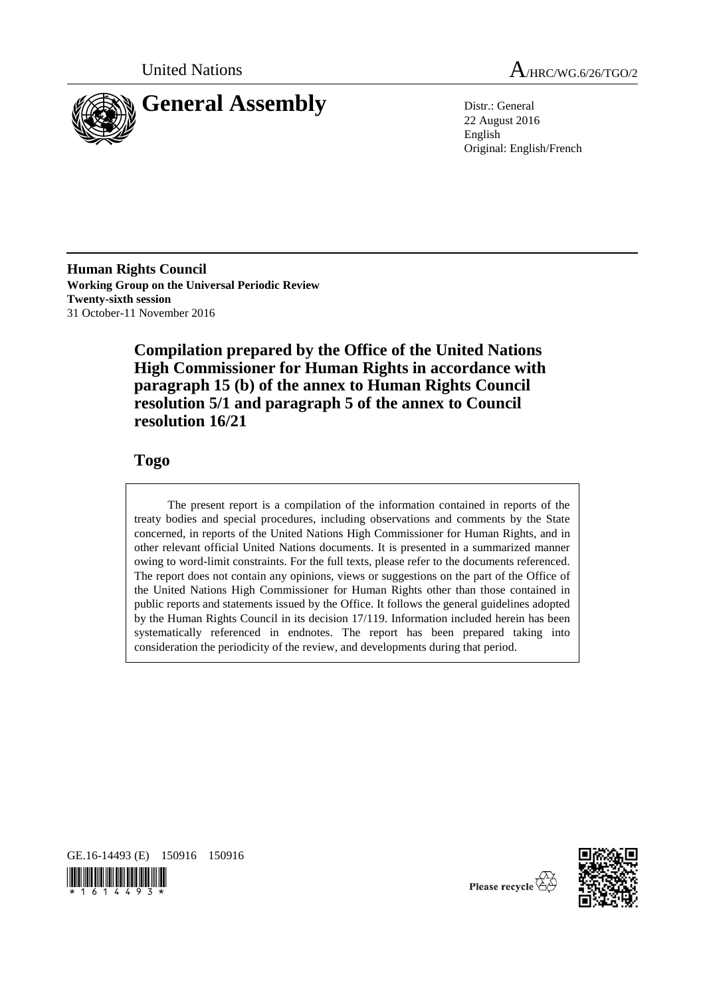



22 August 2016 English Original: English/French

**Human Rights Council Working Group on the Universal Periodic Review Twenty-sixth session** 31 October-11 November 2016

> **Compilation prepared by the Office of the United Nations High Commissioner for Human Rights in accordance with paragraph 15 (b) of the annex to Human Rights Council resolution 5/1 and paragraph 5 of the annex to Council resolution 16/21**

# **Togo**

The present report is a compilation of the information contained in reports of the treaty bodies and special procedures, including observations and comments by the State concerned, in reports of the United Nations High Commissioner for Human Rights, and in other relevant official United Nations documents. It is presented in a summarized manner owing to word-limit constraints. For the full texts, please refer to the documents referenced. The report does not contain any opinions, views or suggestions on the part of the Office of the United Nations High Commissioner for Human Rights other than those contained in public reports and statements issued by the Office. It follows the general guidelines adopted by the Human Rights Council in its decision 17/119. Information included herein has been systematically referenced in endnotes. The report has been prepared taking into consideration the periodicity of the review, and developments during that period.







Please recycle  $\overline{\mathbb{G}}$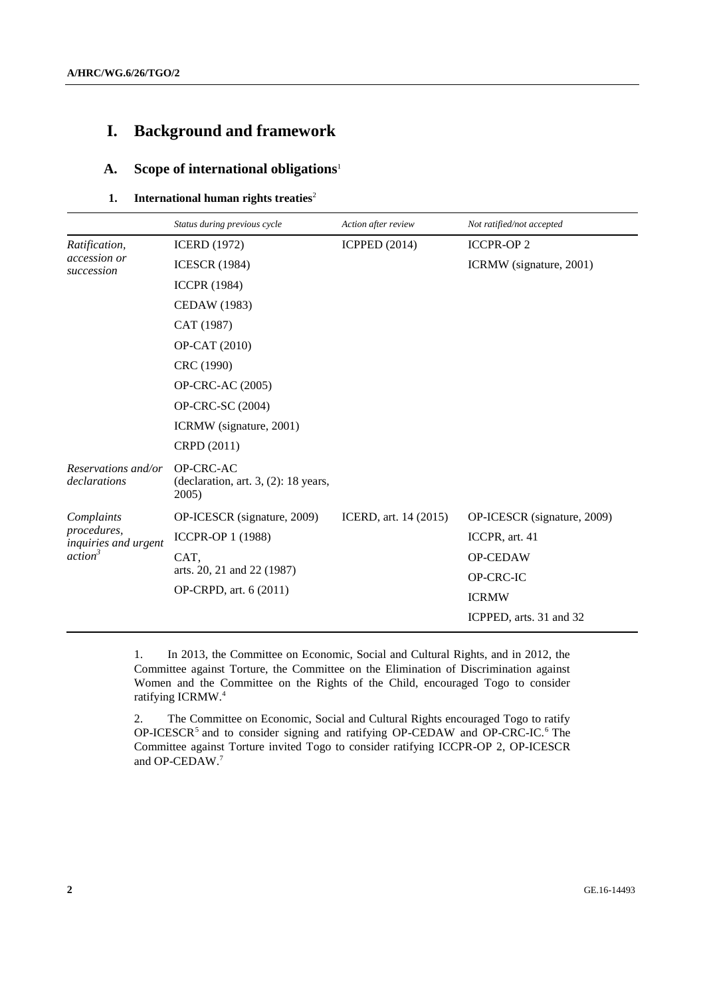# **I. Background and framework**

## **A. Scope of international obligations**<sup>1</sup>

### **1.** International human rights treaties<sup>2</sup>

|                                                                          | Status during previous cycle                                     | Action after review   | Not ratified/not accepted   |
|--------------------------------------------------------------------------|------------------------------------------------------------------|-----------------------|-----------------------------|
| Ratification,<br>accession or<br>succession                              | <b>ICERD</b> (1972)                                              | <b>ICPPED (2014)</b>  | <b>ICCPR-OP2</b>            |
|                                                                          | <b>ICESCR (1984)</b>                                             |                       | ICRMW (signature, 2001)     |
|                                                                          | <b>ICCPR (1984)</b>                                              |                       |                             |
|                                                                          | <b>CEDAW</b> (1983)                                              |                       |                             |
|                                                                          | CAT (1987)                                                       |                       |                             |
|                                                                          | OP-CAT (2010)                                                    |                       |                             |
|                                                                          | CRC (1990)                                                       |                       |                             |
|                                                                          | <b>OP-CRC-AC (2005)</b>                                          |                       |                             |
|                                                                          | <b>OP-CRC-SC (2004)</b>                                          |                       |                             |
|                                                                          | ICRMW (signature, 2001)                                          |                       |                             |
|                                                                          | CRPD (2011)                                                      |                       |                             |
| Reservations and/or<br>declarations                                      | OP-CRC-AC<br>(declaration, art. $3$ , $(2)$ : 18 years,<br>2005) |                       |                             |
| Complaints<br>procedures,<br>inquiries and urgent<br>action <sup>3</sup> | OP-ICESCR (signature, 2009)                                      | ICERD, art. 14 (2015) | OP-ICESCR (signature, 2009) |
|                                                                          | <b>ICCPR-OP 1 (1988)</b>                                         |                       | ICCPR, art. 41              |
|                                                                          | CAT,                                                             |                       | OP-CEDAW                    |
|                                                                          | arts. 20, 21 and 22 (1987)<br>OP-CRPD, art. 6 (2011)             |                       | OP-CRC-IC                   |
|                                                                          |                                                                  |                       | <b>ICRMW</b>                |
|                                                                          |                                                                  |                       | ICPPED, arts. 31 and 32     |

1. In 2013, the Committee on Economic, Social and Cultural Rights, and in 2012, the Committee against Torture, the Committee on the Elimination of Discrimination against Women and the Committee on the Rights of the Child, encouraged Togo to consider ratifying ICRMW.<sup>4</sup>

2. The Committee on Economic, Social and Cultural Rights encouraged Togo to ratify OP-ICESCR<sup>5</sup> and to consider signing and ratifying OP-CEDAW and OP-CRC-IC.<sup>6</sup> The Committee against Torture invited Togo to consider ratifying ICCPR-OP 2, OP-ICESCR and OP-CEDAW.7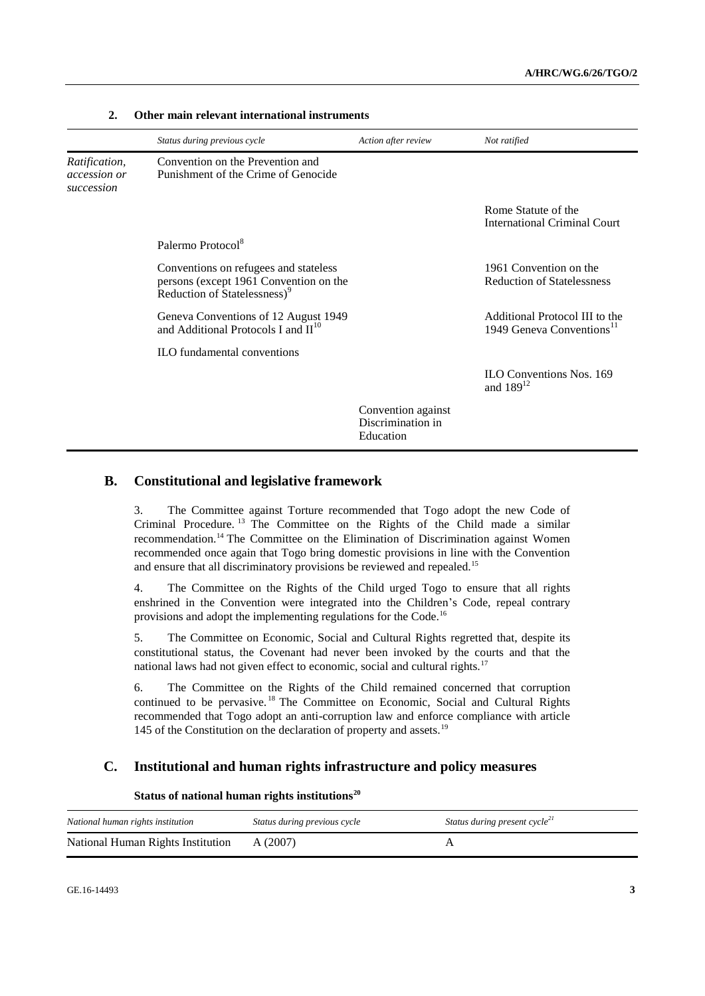|                                                    | Status during previous cycle                                                                                                | Action after review                                  | Not ratified                                                            |
|----------------------------------------------------|-----------------------------------------------------------------------------------------------------------------------------|------------------------------------------------------|-------------------------------------------------------------------------|
| Ratification,<br><i>accession or</i><br>succession | Convention on the Prevention and<br>Punishment of the Crime of Genocide                                                     |                                                      |                                                                         |
|                                                    |                                                                                                                             |                                                      | Rome Statute of the<br><b>International Criminal Court</b>              |
|                                                    | Palermo Protocol <sup>8</sup>                                                                                               |                                                      |                                                                         |
|                                                    | Conventions on refugees and stateless<br>persons (except 1961 Convention on the<br>Reduction of Statelessness) <sup>9</sup> |                                                      | 1961 Convention on the<br><b>Reduction of Statelessness</b>             |
|                                                    | Geneva Conventions of 12 August 1949<br>and Additional Protocols I and $\mathbf{H}^{10}$                                    |                                                      | Additional Protocol III to the<br>1949 Geneva Conventions <sup>11</sup> |
|                                                    | <b>ILO</b> fundamental conventions                                                                                          |                                                      |                                                                         |
|                                                    |                                                                                                                             |                                                      | <b>ILO Conventions Nos. 169</b><br>and $189^{12}$                       |
|                                                    |                                                                                                                             | Convention against<br>Discrimination in<br>Education |                                                                         |

### **2. Other main relevant international instruments**

### **B. Constitutional and legislative framework**

3. The Committee against Torture recommended that Togo adopt the new Code of Criminal Procedure. <sup>13</sup> The Committee on the Rights of the Child made a similar recommendation.<sup>14</sup> The Committee on the Elimination of Discrimination against Women recommended once again that Togo bring domestic provisions in line with the Convention and ensure that all discriminatory provisions be reviewed and repealed.<sup>15</sup>

4. The Committee on the Rights of the Child urged Togo to ensure that all rights enshrined in the Convention were integrated into the Children's Code, repeal contrary provisions and adopt the implementing regulations for the Code.<sup>16</sup>

5. The Committee on Economic, Social and Cultural Rights regretted that, despite its constitutional status, the Covenant had never been invoked by the courts and that the national laws had not given effect to economic, social and cultural rights.<sup>17</sup>

6. The Committee on the Rights of the Child remained concerned that corruption continued to be pervasive. <sup>18</sup> The Committee on Economic, Social and Cultural Rights recommended that Togo adopt an anti-corruption law and enforce compliance with article 145 of the Constitution on the declaration of property and assets.<sup>19</sup>

### **C. Institutional and human rights infrastructure and policy measures**

| National human rights institution | Status during previous cycle | Status during present cycle <sup>21</sup> |
|-----------------------------------|------------------------------|-------------------------------------------|
| National Human Rights Institution | A (2007)                     |                                           |

#### **Status of national human rights institutions<sup>20</sup>**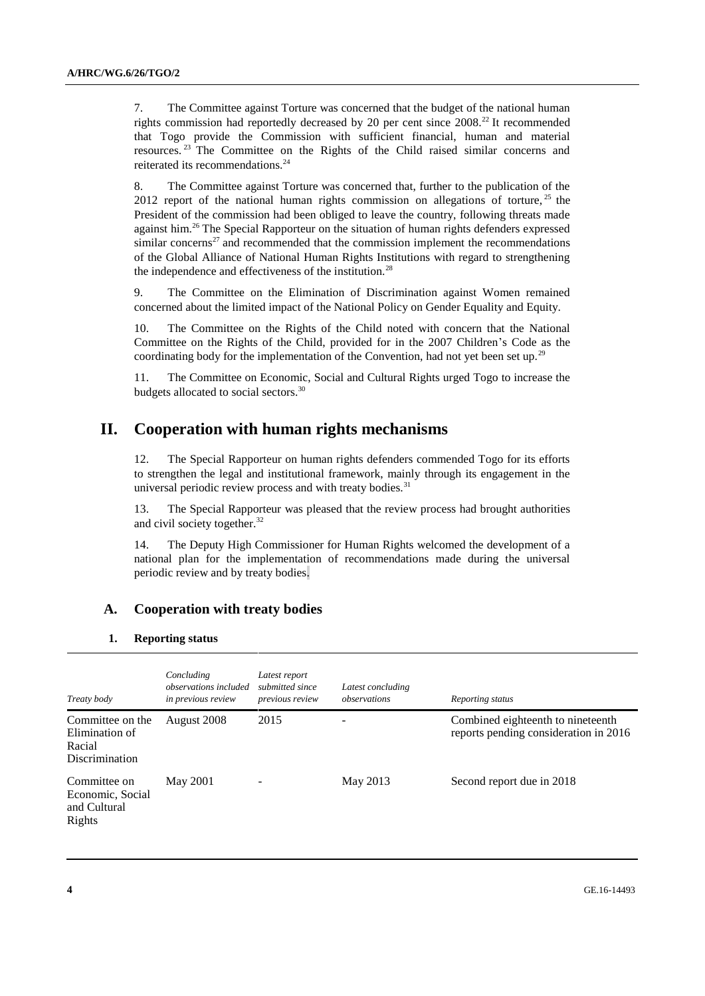7. The Committee against Torture was concerned that the budget of the national human rights commission had reportedly decreased by 20 per cent since  $2008<sup>22</sup>$  It recommended that Togo provide the Commission with sufficient financial, human and material resources.<sup>23</sup> The Committee on the Rights of the Child raised similar concerns and reiterated its recommendations.<sup>24</sup>

8. The Committee against Torture was concerned that, further to the publication of the 2012 report of the national human rights commission on allegations of torture,  $25$  the President of the commission had been obliged to leave the country, following threats made against him.<sup>26</sup> The Special Rapporteur on the situation of human rights defenders expressed similar concerns<sup>27</sup> and recommended that the commission implement the recommendations of the Global Alliance of National Human Rights Institutions with regard to strengthening the independence and effectiveness of the institution.<sup>28</sup>

9. The Committee on the Elimination of Discrimination against Women remained concerned about the limited impact of the National Policy on Gender Equality and Equity.

10. The Committee on the Rights of the Child noted with concern that the National Committee on the Rights of the Child, provided for in the 2007 Children's Code as the coordinating body for the implementation of the Convention, had not yet been set up.<sup>29</sup>

11. The Committee on Economic, Social and Cultural Rights urged Togo to increase the budgets allocated to social sectors.<sup>30</sup>

## **II. Cooperation with human rights mechanisms**

12. The Special Rapporteur on human rights defenders commended Togo for its efforts to strengthen the legal and institutional framework, mainly through its engagement in the universal periodic review process and with treaty bodies. $31$ 

13. The Special Rapporteur was pleased that the review process had brought authorities and civil society together.<sup>32</sup>

14. The Deputy High Commissioner for Human Rights welcomed the development of a national plan for the implementation of recommendations made during the universal periodic review and by treaty bodies.

#### **A. Cooperation with treaty bodies**

#### **1. Reporting status**

| Treaty body                                                           | Concluding<br>observations included<br>in previous review | Latest report<br>submitted since<br>previous review | Latest concluding<br>observations | Reporting status                                                           |
|-----------------------------------------------------------------------|-----------------------------------------------------------|-----------------------------------------------------|-----------------------------------|----------------------------------------------------------------------------|
| Committee on the<br>Elimination of<br>Racial<br><b>Discrimination</b> | August 2008                                               | 2015                                                |                                   | Combined eighteenth to nineteenth<br>reports pending consideration in 2016 |
| Committee on<br>Economic, Social<br>and Cultural<br>Rights            | May 2001                                                  |                                                     | May 2013                          | Second report due in 2018                                                  |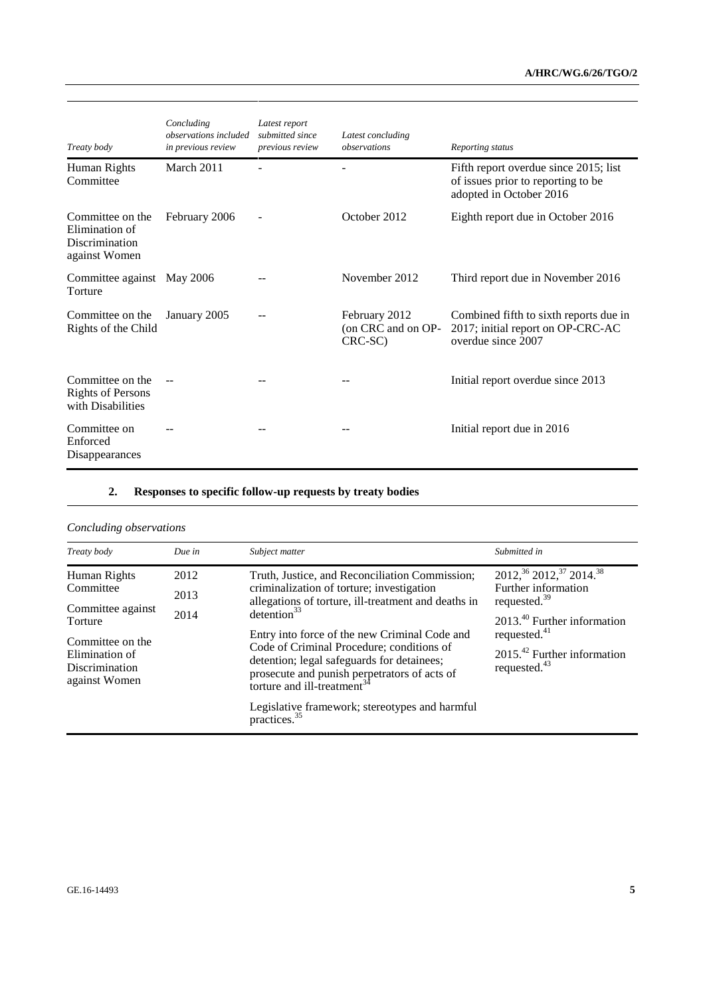| Treaty body                                                           | Concluding<br>observations included<br>in previous review | Latest report<br>submitted since<br>previous review | Latest concluding<br>observations              | Reporting status                                                                                       |
|-----------------------------------------------------------------------|-----------------------------------------------------------|-----------------------------------------------------|------------------------------------------------|--------------------------------------------------------------------------------------------------------|
| Human Rights<br>Committee                                             | March 2011                                                |                                                     |                                                | Fifth report overdue since 2015; list<br>of issues prior to reporting to be<br>adopted in October 2016 |
| Committee on the<br>Elimination of<br>Discrimination<br>against Women | February 2006                                             |                                                     | October 2012                                   | Eighth report due in October 2016                                                                      |
| Committee against May 2006<br>Torture                                 |                                                           |                                                     | November 2012                                  | Third report due in November 2016                                                                      |
| Committee on the<br>Rights of the Child                               | January 2005                                              |                                                     | February 2012<br>(on CRC and on OP-<br>CRC-SC) | Combined fifth to sixth reports due in<br>2017; initial report on OP-CRC-AC<br>overdue since 2007      |
| Committee on the<br><b>Rights of Persons</b><br>with Disabilities     |                                                           |                                                     |                                                | Initial report overdue since 2013                                                                      |
| Committee on<br>Enforced<br>Disappearances                            |                                                           |                                                     |                                                | Initial report due in 2016                                                                             |

# **2. Responses to specific follow-up requests by treaty bodies**

# *Concluding observations*

| Treaty body                                                                             | Due in       | Subject matter                                                                                                                                                                                                                                                                                                                                                                                                       | Submitted in                                                                                                             |
|-----------------------------------------------------------------------------------------|--------------|----------------------------------------------------------------------------------------------------------------------------------------------------------------------------------------------------------------------------------------------------------------------------------------------------------------------------------------------------------------------------------------------------------------------|--------------------------------------------------------------------------------------------------------------------------|
| Human Rights<br>Committee<br>Committee against                                          | 2012<br>2013 | Truth, Justice, and Reconciliation Commission;<br>criminalization of torture; investigation<br>allegations of torture, ill-treatment and deaths in<br>detection <sup>33</sup><br>Entry into force of the new Criminal Code and<br>Code of Criminal Procedure; conditions of<br>detention; legal safeguards for detainees;<br>prosecute and punish perpetrators of acts of<br>torture and ill-treatment <sup>34</sup> | 2012, $36$ 2012, $37$ 2014. $38$<br>Further information<br>requested. $39$                                               |
| Torture<br>Committee on the<br>Elimination of<br><b>Discrimination</b><br>against Women | 2014         |                                                                                                                                                                                                                                                                                                                                                                                                                      | $2013^{40}$ Further information<br>requested. <sup>41</sup><br>$2015.42$ Further information<br>requested. <sup>43</sup> |
|                                                                                         |              | Legislative framework; stereotypes and harmful<br>practices. <sup>35</sup>                                                                                                                                                                                                                                                                                                                                           |                                                                                                                          |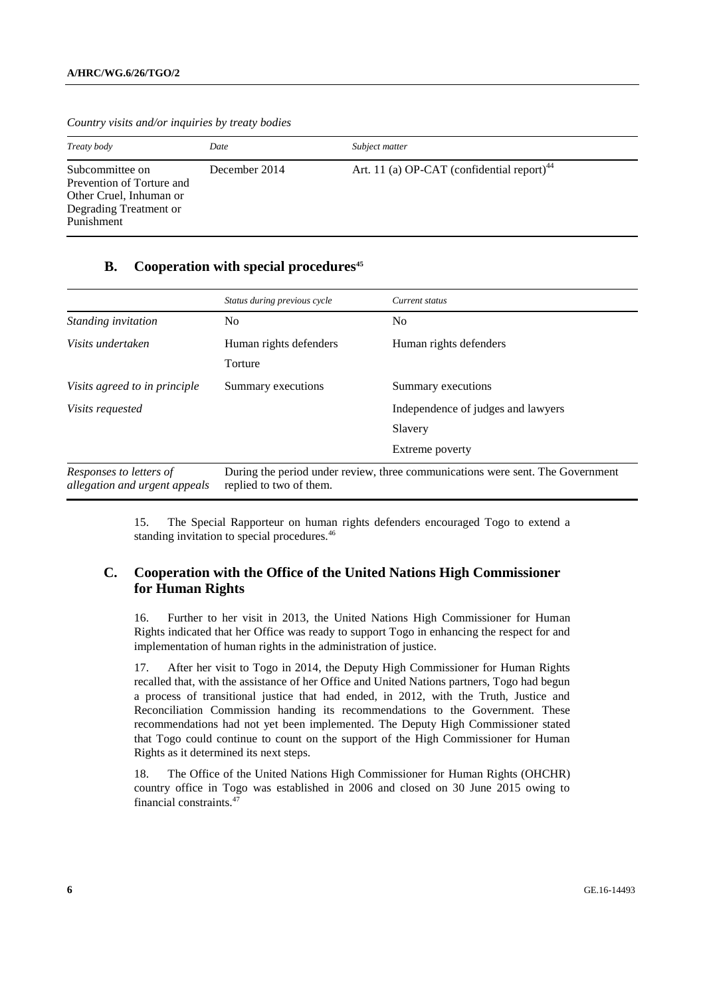| Treaty body                                                                                                     | Date          | Subject matter                                         |
|-----------------------------------------------------------------------------------------------------------------|---------------|--------------------------------------------------------|
| Subcommittee on<br>Prevention of Torture and<br>Other Cruel, Inhuman or<br>Degrading Treatment or<br>Punishment | December 2014 | Art. 11 (a) OP-CAT (confidential report) <sup>44</sup> |

*Country visits and/or inquiries by treaty bodies*

### **B. Cooperation with special procedures<sup>45</sup>**

|                                                          | Status during previous cycle                                                                              | Current status                     |  |
|----------------------------------------------------------|-----------------------------------------------------------------------------------------------------------|------------------------------------|--|
| Standing invitation                                      | No.                                                                                                       | No.                                |  |
| Visits undertaken                                        | Human rights defenders                                                                                    | Human rights defenders             |  |
|                                                          | Torture                                                                                                   |                                    |  |
| Visits agreed to in principle                            | Summary executions                                                                                        | Summary executions                 |  |
| Visits requested                                         |                                                                                                           | Independence of judges and lawyers |  |
|                                                          |                                                                                                           | Slavery                            |  |
|                                                          |                                                                                                           | Extreme poverty                    |  |
| Responses to letters of<br>allegation and urgent appeals | During the period under review, three communications were sent. The Government<br>replied to two of them. |                                    |  |

15. The Special Rapporteur on human rights defenders encouraged Togo to extend a standing invitation to special procedures.<sup>46</sup>

### **C. Cooperation with the Office of the United Nations High Commissioner for Human Rights**

16. Further to her visit in 2013, the United Nations High Commissioner for Human Rights indicated that her Office was ready to support Togo in enhancing the respect for and implementation of human rights in the administration of justice.

17. After her visit to Togo in 2014, the Deputy High Commissioner for Human Rights recalled that, with the assistance of her Office and United Nations partners, Togo had begun a process of transitional justice that had ended, in 2012, with the Truth, Justice and Reconciliation Commission handing its recommendations to the Government. These recommendations had not yet been implemented. The Deputy High Commissioner stated that Togo could continue to count on the support of the High Commissioner for Human Rights as it determined its next steps.

18. The Office of the United Nations High Commissioner for Human Rights (OHCHR) country office in Togo was established in 2006 and closed on 30 June 2015 owing to financial constraints.47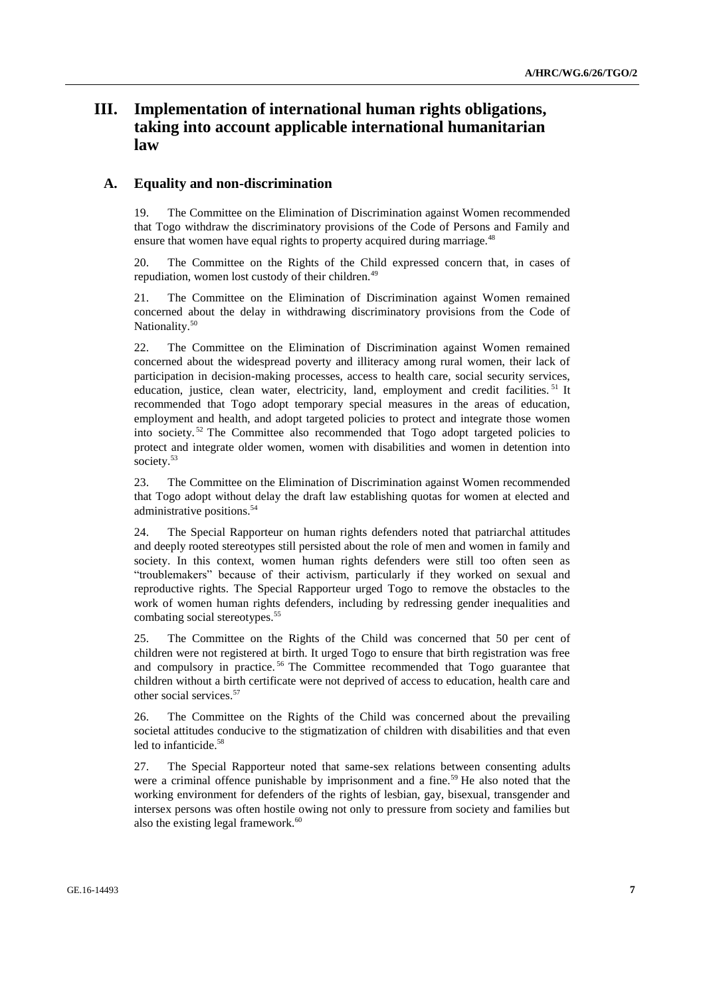# **III. Implementation of international human rights obligations, taking into account applicable international humanitarian law**

### **A. Equality and non-discrimination**

19. The Committee on the Elimination of Discrimination against Women recommended that Togo withdraw the discriminatory provisions of the Code of Persons and Family and ensure that women have equal rights to property acquired during marriage.<sup>48</sup>

20. The Committee on the Rights of the Child expressed concern that, in cases of repudiation, women lost custody of their children.<sup>49</sup>

21. The Committee on the Elimination of Discrimination against Women remained concerned about the delay in withdrawing discriminatory provisions from the Code of Nationality.<sup>50</sup>

22. The Committee on the Elimination of Discrimination against Women remained concerned about the widespread poverty and illiteracy among rural women, their lack of participation in decision-making processes, access to health care, social security services, education, justice, clean water, electricity, land, employment and credit facilities.<sup>51</sup> It recommended that Togo adopt temporary special measures in the areas of education, employment and health, and adopt targeted policies to protect and integrate those women into society. <sup>52</sup> The Committee also recommended that Togo adopt targeted policies to protect and integrate older women, women with disabilities and women in detention into society.<sup>53</sup>

23. The Committee on the Elimination of Discrimination against Women recommended that Togo adopt without delay the draft law establishing quotas for women at elected and administrative positions.<sup>54</sup>

24. The Special Rapporteur on human rights defenders noted that patriarchal attitudes and deeply rooted stereotypes still persisted about the role of men and women in family and society. In this context, women human rights defenders were still too often seen as "troublemakers" because of their activism, particularly if they worked on sexual and reproductive rights. The Special Rapporteur urged Togo to remove the obstacles to the work of women human rights defenders, including by redressing gender inequalities and combating social stereotypes.<sup>55</sup>

25. The Committee on the Rights of the Child was concerned that 50 per cent of children were not registered at birth. It urged Togo to ensure that birth registration was free and compulsory in practice. <sup>56</sup> The Committee recommended that Togo guarantee that children without a birth certificate were not deprived of access to education, health care and other social services<sup>57</sup>

26. The Committee on the Rights of the Child was concerned about the prevailing societal attitudes conducive to the stigmatization of children with disabilities and that even led to infanticide.<sup>58</sup>

27. The Special Rapporteur noted that same-sex relations between consenting adults were a criminal offence punishable by imprisonment and a fine.<sup>59</sup> He also noted that the working environment for defenders of the rights of lesbian, gay, bisexual, transgender and intersex persons was often hostile owing not only to pressure from society and families but also the existing legal framework.<sup>60</sup>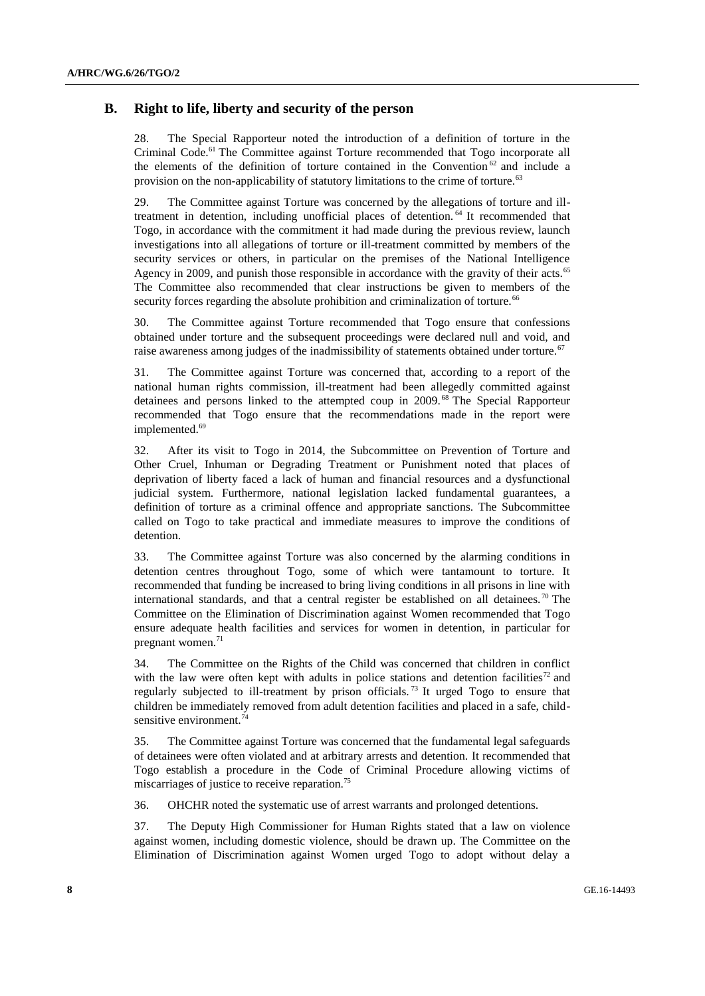### **B. Right to life, liberty and security of the person**

28. The Special Rapporteur noted the introduction of a definition of torture in the Criminal Code.<sup>61</sup> The Committee against Torture recommended that Togo incorporate all the elements of the definition of torture contained in the Convention<sup>62</sup> and include a provision on the non-applicability of statutory limitations to the crime of torture.<sup>63</sup>

29. The Committee against Torture was concerned by the allegations of torture and illtreatment in detention, including unofficial places of detention. <sup>64</sup> It recommended that Togo, in accordance with the commitment it had made during the previous review, launch investigations into all allegations of torture or ill-treatment committed by members of the security services or others, in particular on the premises of the National Intelligence Agency in 2009, and punish those responsible in accordance with the gravity of their acts.<sup>65</sup> The Committee also recommended that clear instructions be given to members of the security forces regarding the absolute prohibition and criminalization of torture.<sup>66</sup>

30. The Committee against Torture recommended that Togo ensure that confessions obtained under torture and the subsequent proceedings were declared null and void, and raise awareness among judges of the inadmissibility of statements obtained under torture.<sup>67</sup>

31. The Committee against Torture was concerned that, according to a report of the national human rights commission, ill-treatment had been allegedly committed against detainees and persons linked to the attempted coup in 2009.<sup>68</sup> The Special Rapporteur recommended that Togo ensure that the recommendations made in the report were implemented.<sup>69</sup>

32. After its visit to Togo in 2014, the Subcommittee on Prevention of Torture and Other Cruel, Inhuman or Degrading Treatment or Punishment noted that places of deprivation of liberty faced a lack of human and financial resources and a dysfunctional judicial system. Furthermore, national legislation lacked fundamental guarantees, a definition of torture as a criminal offence and appropriate sanctions. The Subcommittee called on Togo to take practical and immediate measures to improve the conditions of detention.

33. The Committee against Torture was also concerned by the alarming conditions in detention centres throughout Togo, some of which were tantamount to torture. It recommended that funding be increased to bring living conditions in all prisons in line with international standards, and that a central register be established on all detainees.<sup>70</sup> The Committee on the Elimination of Discrimination against Women recommended that Togo ensure adequate health facilities and services for women in detention, in particular for pregnant women. $71$ 

34. The Committee on the Rights of the Child was concerned that children in conflict with the law were often kept with adults in police stations and detention facilities<sup>72</sup> and regularly subjected to ill-treatment by prison officials.<sup>73</sup> It urged Togo to ensure that children be immediately removed from adult detention facilities and placed in a safe, childsensitive environment.<sup>74</sup>

35. The Committee against Torture was concerned that the fundamental legal safeguards of detainees were often violated and at arbitrary arrests and detention. It recommended that Togo establish a procedure in the Code of Criminal Procedure allowing victims of miscarriages of justice to receive reparation.<sup>75</sup>

36. OHCHR noted the systematic use of arrest warrants and prolonged detentions.

37. The Deputy High Commissioner for Human Rights stated that a law on violence against women, including domestic violence, should be drawn up. The Committee on the Elimination of Discrimination against Women urged Togo to adopt without delay a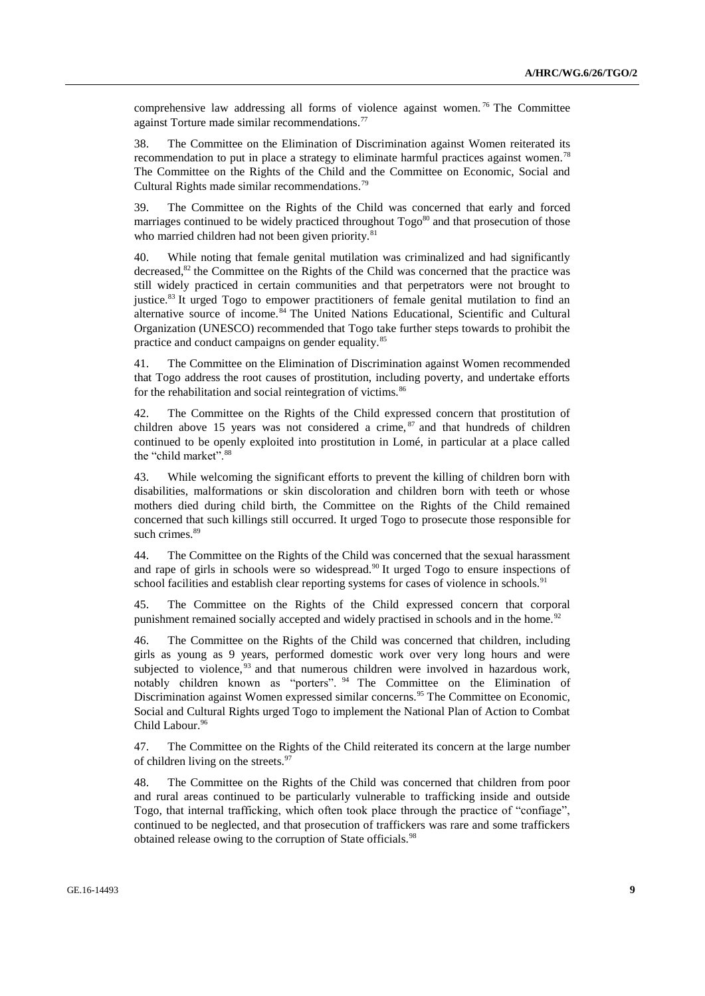comprehensive law addressing all forms of violence against women.<sup>76</sup> The Committee against Torture made similar recommendations.<sup>77</sup>

38. The Committee on the Elimination of Discrimination against Women reiterated its recommendation to put in place a strategy to eliminate harmful practices against women.<sup>78</sup> The Committee on the Rights of the Child and the Committee on Economic, Social and Cultural Rights made similar recommendations.<sup>79</sup>

39. The Committee on the Rights of the Child was concerned that early and forced marriages continued to be widely practiced throughout Togo<sup>80</sup> and that prosecution of those who married children had not been given priority.<sup>81</sup>

40. While noting that female genital mutilation was criminalized and had significantly decreased,<sup>82</sup> the Committee on the Rights of the Child was concerned that the practice was still widely practiced in certain communities and that perpetrators were not brought to justice.<sup>83</sup> It urged Togo to empower practitioners of female genital mutilation to find an alternative source of income. <sup>84</sup> The United Nations Educational, Scientific and Cultural Organization (UNESCO) recommended that Togo take further steps towards to prohibit the practice and conduct campaigns on gender equality.<sup>85</sup>

41. The Committee on the Elimination of Discrimination against Women recommended that Togo address the root causes of prostitution, including poverty, and undertake efforts for the rehabilitation and social reintegration of victims.<sup>86</sup>

42. The Committee on the Rights of the Child expressed concern that prostitution of children above 15 years was not considered a crime,  $s<sup>87</sup>$  and that hundreds of children continued to be openly exploited into prostitution in Lomé, in particular at a place called the "child market".<sup>88</sup>

43. While welcoming the significant efforts to prevent the killing of children born with disabilities, malformations or skin discoloration and children born with teeth or whose mothers died during child birth, the Committee on the Rights of the Child remained concerned that such killings still occurred. It urged Togo to prosecute those responsible for such crimes.<sup>89</sup>

44. The Committee on the Rights of the Child was concerned that the sexual harassment and rape of girls in schools were so widespread.<sup>90</sup> It urged Togo to ensure inspections of school facilities and establish clear reporting systems for cases of violence in schools.<sup>91</sup>

45. The Committee on the Rights of the Child expressed concern that corporal punishment remained socially accepted and widely practised in schools and in the home.<sup>92</sup>

46. The Committee on the Rights of the Child was concerned that children, including girls as young as 9 years, performed domestic work over very long hours and were subjected to violence, <sup>93</sup> and that numerous children were involved in hazardous work, notably children known as "porters". <sup>94</sup> The Committee on the Elimination of Discrimination against Women expressed similar concerns.<sup>95</sup> The Committee on Economic, Social and Cultural Rights urged Togo to implement the National Plan of Action to Combat Child Labour.<sup>96</sup>

47. The Committee on the Rights of the Child reiterated its concern at the large number of children living on the streets.<sup>97</sup>

48. The Committee on the Rights of the Child was concerned that children from poor and rural areas continued to be particularly vulnerable to trafficking inside and outside Togo, that internal trafficking, which often took place through the practice of "confiage", continued to be neglected, and that prosecution of traffickers was rare and some traffickers obtained release owing to the corruption of State officials.<sup>98</sup>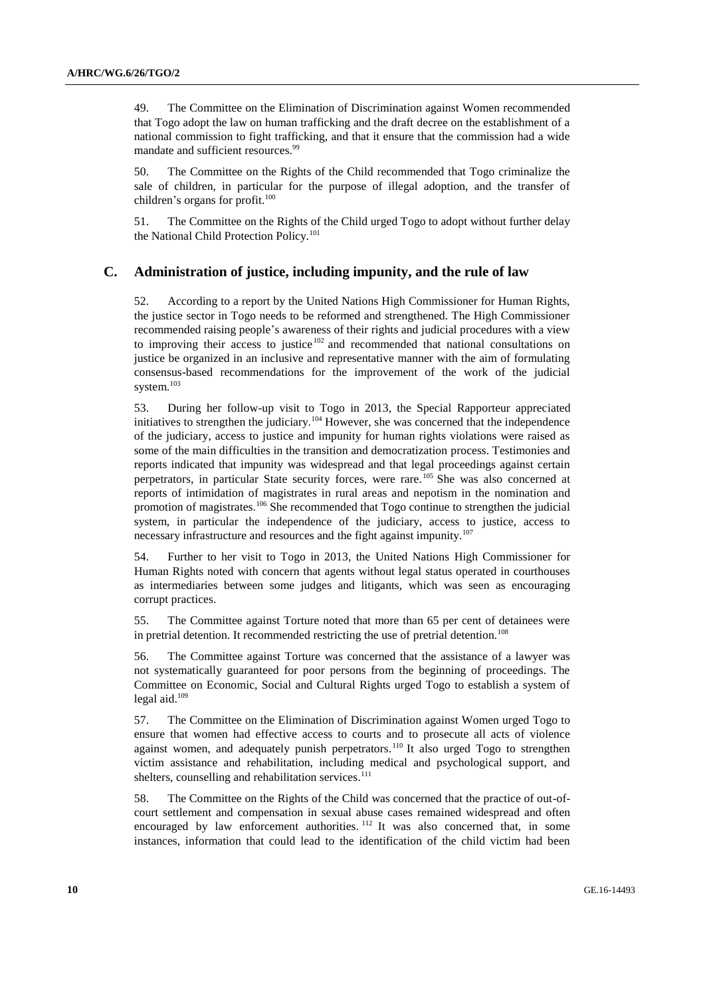49. The Committee on the Elimination of Discrimination against Women recommended that Togo adopt the law on human trafficking and the draft decree on the establishment of a national commission to fight trafficking, and that it ensure that the commission had a wide mandate and sufficient resources.<sup>99</sup>

50. The Committee on the Rights of the Child recommended that Togo criminalize the sale of children, in particular for the purpose of illegal adoption, and the transfer of children's organs for profit. $100$ 

51. The Committee on the Rights of the Child urged Togo to adopt without further delay the National Child Protection Policy.<sup>101</sup>

### **C. Administration of justice, including impunity, and the rule of law**

52. According to a report by the United Nations High Commissioner for Human Rights, the justice sector in Togo needs to be reformed and strengthened. The High Commissioner recommended raising people's awareness of their rights and judicial procedures with a view to improving their access to justice  $102$  and recommended that national consultations on justice be organized in an inclusive and representative manner with the aim of formulating consensus-based recommendations for the improvement of the work of the judicial system.<sup>103</sup>

53. During her follow-up visit to Togo in 2013, the Special Rapporteur appreciated initiatives to strengthen the judiciary.<sup>104</sup> However, she was concerned that the independence of the judiciary, access to justice and impunity for human rights violations were raised as some of the main difficulties in the transition and democratization process. Testimonies and reports indicated that impunity was widespread and that legal proceedings against certain perpetrators, in particular State security forces, were rare.<sup>105</sup> She was also concerned at reports of intimidation of magistrates in rural areas and nepotism in the nomination and promotion of magistrates.<sup>106</sup> She recommended that Togo continue to strengthen the judicial system, in particular the independence of the judiciary, access to justice, access to necessary infrastructure and resources and the fight against impunity.<sup>107</sup>

54. Further to her visit to Togo in 2013, the United Nations High Commissioner for Human Rights noted with concern that agents without legal status operated in courthouses as intermediaries between some judges and litigants, which was seen as encouraging corrupt practices.

55. The Committee against Torture noted that more than 65 per cent of detainees were in pretrial detention. It recommended restricting the use of pretrial detention.<sup>108</sup>

56. The Committee against Torture was concerned that the assistance of a lawyer was not systematically guaranteed for poor persons from the beginning of proceedings. The Committee on Economic, Social and Cultural Rights urged Togo to establish a system of legal aid.<sup>109</sup>

57. The Committee on the Elimination of Discrimination against Women urged Togo to ensure that women had effective access to courts and to prosecute all acts of violence against women, and adequately punish perpetrators.<sup>110</sup> It also urged Togo to strengthen victim assistance and rehabilitation, including medical and psychological support, and shelters, counselling and rehabilitation services.<sup>111</sup>

58. The Committee on the Rights of the Child was concerned that the practice of out-ofcourt settlement and compensation in sexual abuse cases remained widespread and often encouraged by law enforcement authorities. <sup>112</sup> It was also concerned that, in some instances, information that could lead to the identification of the child victim had been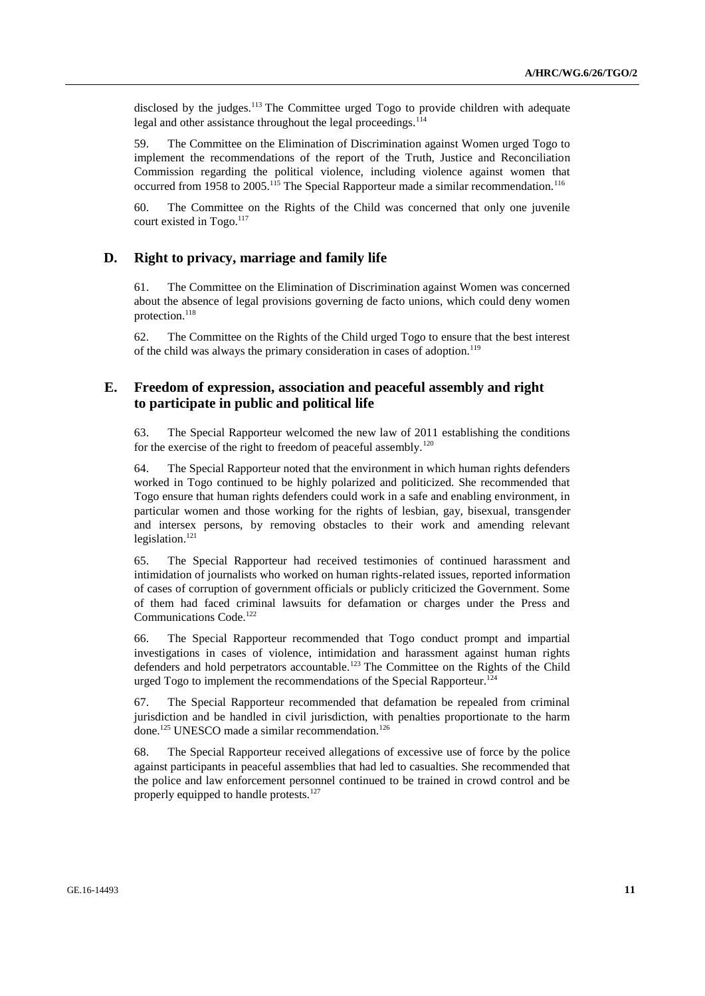disclosed by the judges.<sup>113</sup> The Committee urged Togo to provide children with adequate legal and other assistance throughout the legal proceedings.<sup>114</sup>

59. The Committee on the Elimination of Discrimination against Women urged Togo to implement the recommendations of the report of the Truth, Justice and Reconciliation Commission regarding the political violence, including violence against women that occurred from 1958 to 2005.<sup>115</sup> The Special Rapporteur made a similar recommendation.<sup>116</sup>

60. The Committee on the Rights of the Child was concerned that only one juvenile court existed in Togo.<sup>117</sup>

### **D. Right to privacy, marriage and family life**

61. The Committee on the Elimination of Discrimination against Women was concerned about the absence of legal provisions governing de facto unions, which could deny women protection.<sup>118</sup>

62. The Committee on the Rights of the Child urged Togo to ensure that the best interest of the child was always the primary consideration in cases of adoption.<sup>119</sup>

### **E. Freedom of expression, association and peaceful assembly and right to participate in public and political life**

63. The Special Rapporteur welcomed the new law of 2011 establishing the conditions for the exercise of the right to freedom of peaceful assembly.<sup>120</sup>

64. The Special Rapporteur noted that the environment in which human rights defenders worked in Togo continued to be highly polarized and politicized. She recommended that Togo ensure that human rights defenders could work in a safe and enabling environment, in particular women and those working for the rights of lesbian, gay, bisexual, transgender and intersex persons, by removing obstacles to their work and amending relevant legislation. $121$ 

65. The Special Rapporteur had received testimonies of continued harassment and intimidation of journalists who worked on human rights-related issues, reported information of cases of corruption of government officials or publicly criticized the Government. Some of them had faced criminal lawsuits for defamation or charges under the Press and Communications Code.<sup>122</sup>

66. The Special Rapporteur recommended that Togo conduct prompt and impartial investigations in cases of violence, intimidation and harassment against human rights defenders and hold perpetrators accountable.<sup>123</sup> The Committee on the Rights of the Child urged Togo to implement the recommendations of the Special Rapporteur.<sup>124</sup>

67. The Special Rapporteur recommended that defamation be repealed from criminal jurisdiction and be handled in civil jurisdiction, with penalties proportionate to the harm done.<sup>125</sup> UNESCO made a similar recommendation.<sup>126</sup>

68. The Special Rapporteur received allegations of excessive use of force by the police against participants in peaceful assemblies that had led to casualties. She recommended that the police and law enforcement personnel continued to be trained in crowd control and be properly equipped to handle protests.<sup>127</sup>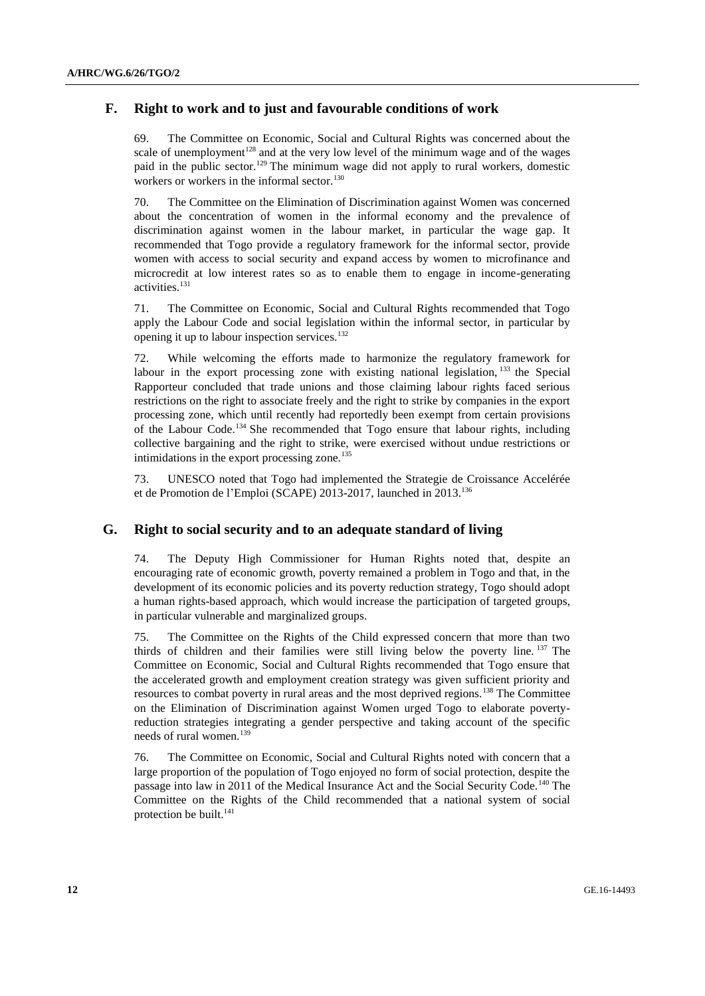## **F. Right to work and to just and favourable conditions of work**

69. The Committee on Economic, Social and Cultural Rights was concerned about the scale of unemployment<sup>128</sup> and at the very low level of the minimum wage and of the wages paid in the public sector.<sup>129</sup> The minimum wage did not apply to rural workers, domestic workers or workers in the informal sector.<sup>130</sup>

70. The Committee on the Elimination of Discrimination against Women was concerned about the concentration of women in the informal economy and the prevalence of discrimination against women in the labour market, in particular the wage gap. It recommended that Togo provide a regulatory framework for the informal sector, provide women with access to social security and expand access by women to microfinance and microcredit at low interest rates so as to enable them to engage in income-generating activities.<sup>131</sup>

71. The Committee on Economic, Social and Cultural Rights recommended that Togo apply the Labour Code and social legislation within the informal sector, in particular by opening it up to labour inspection services.<sup>132</sup>

72. While welcoming the efforts made to harmonize the regulatory framework for labour in the export processing zone with existing national legislation,  $^{133}$  the Special Rapporteur concluded that trade unions and those claiming labour rights faced serious restrictions on the right to associate freely and the right to strike by companies in the export processing zone, which until recently had reportedly been exempt from certain provisions of the Labour Code.<sup>134</sup> She recommended that Togo ensure that labour rights, including collective bargaining and the right to strike, were exercised without undue restrictions or intimidations in the export processing zone.<sup>135</sup>

73. UNESCO noted that Togo had implemented the Strategie de Croissance Accelérée et de Promotion de l'Emploi (SCAPE) 2013-2017, launched in 2013.<sup>136</sup>

### **G. Right to social security and to an adequate standard of living**

74. The Deputy High Commissioner for Human Rights noted that, despite an encouraging rate of economic growth, poverty remained a problem in Togo and that, in the development of its economic policies and its poverty reduction strategy, Togo should adopt a human rights-based approach, which would increase the participation of targeted groups, in particular vulnerable and marginalized groups.

75. The Committee on the Rights of the Child expressed concern that more than two thirds of children and their families were still living below the poverty line. <sup>137</sup> The Committee on Economic, Social and Cultural Rights recommended that Togo ensure that the accelerated growth and employment creation strategy was given sufficient priority and resources to combat poverty in rural areas and the most deprived regions.<sup>138</sup> The Committee on the Elimination of Discrimination against Women urged Togo to elaborate povertyreduction strategies integrating a gender perspective and taking account of the specific needs of rural women.<sup>139</sup>

76. The Committee on Economic, Social and Cultural Rights noted with concern that a large proportion of the population of Togo enjoyed no form of social protection, despite the passage into law in 2011 of the Medical Insurance Act and the Social Security Code.<sup>140</sup> The Committee on the Rights of the Child recommended that a national system of social protection be built.<sup>141</sup>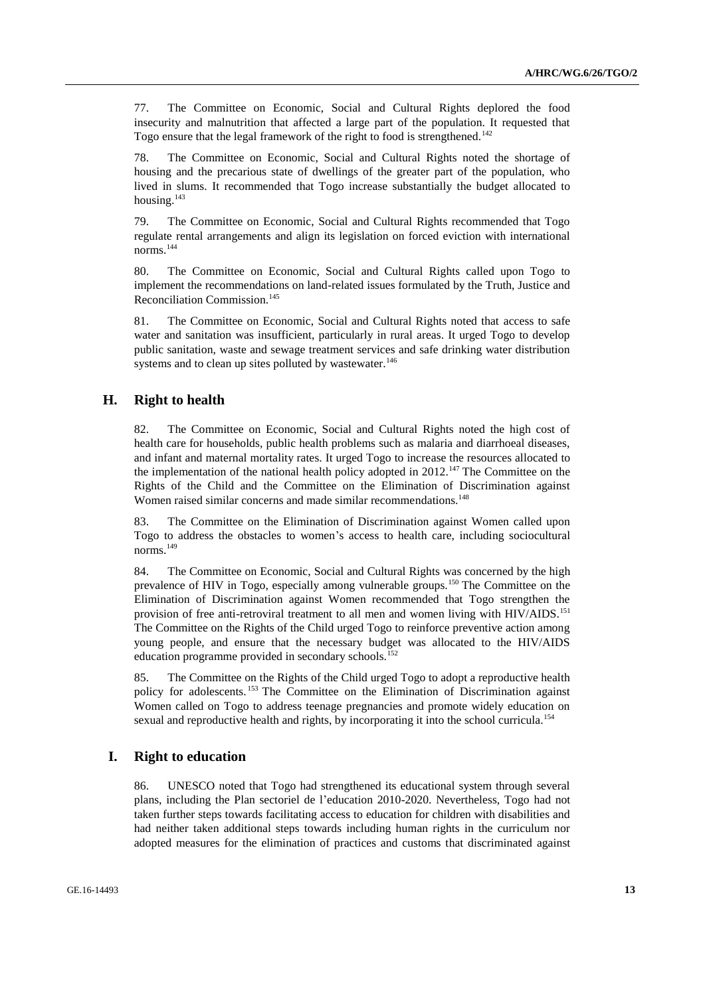77. The Committee on Economic, Social and Cultural Rights deplored the food insecurity and malnutrition that affected a large part of the population. It requested that Togo ensure that the legal framework of the right to food is strengthened.<sup>142</sup>

78. The Committee on Economic, Social and Cultural Rights noted the shortage of housing and the precarious state of dwellings of the greater part of the population, who lived in slums. It recommended that Togo increase substantially the budget allocated to housing.<sup>143</sup>

79. The Committee on Economic, Social and Cultural Rights recommended that Togo regulate rental arrangements and align its legislation on forced eviction with international norms.<sup>144</sup>

80. The Committee on Economic, Social and Cultural Rights called upon Togo to implement the recommendations on land-related issues formulated by the Truth, Justice and Reconciliation Commission.<sup>145</sup>

81. The Committee on Economic, Social and Cultural Rights noted that access to safe water and sanitation was insufficient, particularly in rural areas. It urged Togo to develop public sanitation, waste and sewage treatment services and safe drinking water distribution systems and to clean up sites polluted by wastewater.<sup>146</sup>

### **H. Right to health**

82. The Committee on Economic, Social and Cultural Rights noted the high cost of health care for households, public health problems such as malaria and diarrhoeal diseases, and infant and maternal mortality rates. It urged Togo to increase the resources allocated to the implementation of the national health policy adopted in 2012.<sup>147</sup> The Committee on the Rights of the Child and the Committee on the Elimination of Discrimination against Women raised similar concerns and made similar recommendations.<sup>148</sup>

83. The Committee on the Elimination of Discrimination against Women called upon Togo to address the obstacles to women's access to health care, including sociocultural norms.<sup>149</sup>

84. The Committee on Economic, Social and Cultural Rights was concerned by the high prevalence of HIV in Togo, especially among vulnerable groups.<sup>150</sup> The Committee on the Elimination of Discrimination against Women recommended that Togo strengthen the provision of free anti-retroviral treatment to all men and women living with HIV/AIDS.<sup>151</sup> The Committee on the Rights of the Child urged Togo to reinforce preventive action among young people, and ensure that the necessary budget was allocated to the HIV/AIDS education programme provided in secondary schools.<sup>152</sup>

85. The Committee on the Rights of the Child urged Togo to adopt a reproductive health policy for adolescents. <sup>153</sup> The Committee on the Elimination of Discrimination against Women called on Togo to address teenage pregnancies and promote widely education on sexual and reproductive health and rights, by incorporating it into the school curricula.<sup>154</sup>

### **I. Right to education**

86. UNESCO noted that Togo had strengthened its educational system through several plans, including the Plan sectoriel de l'education 2010-2020. Nevertheless, Togo had not taken further steps towards facilitating access to education for children with disabilities and had neither taken additional steps towards including human rights in the curriculum nor adopted measures for the elimination of practices and customs that discriminated against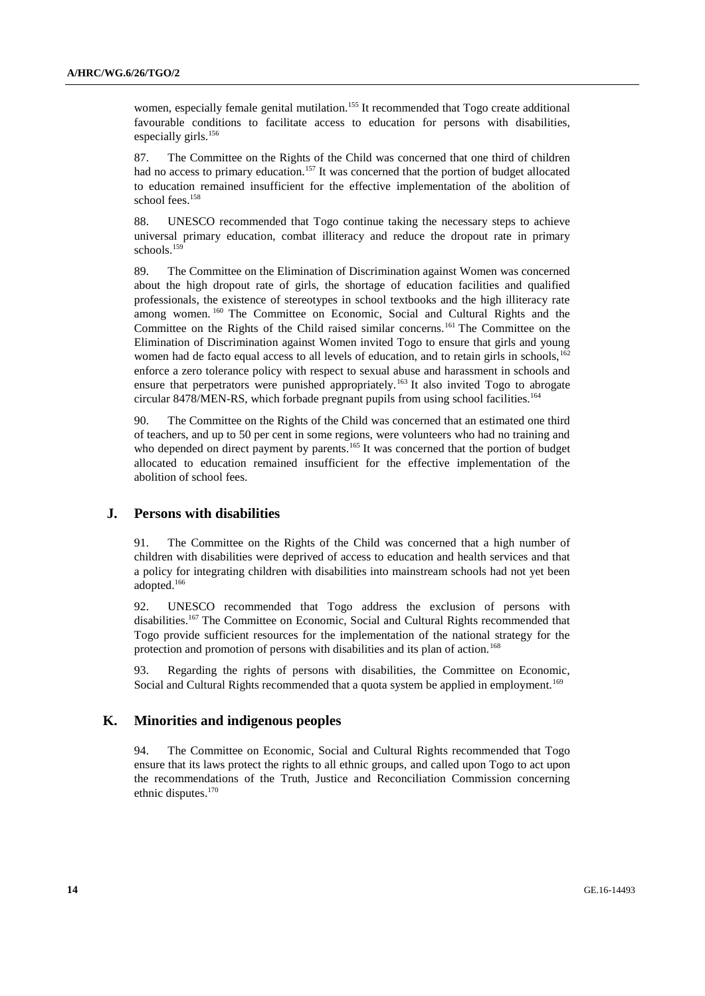women, especially female genital mutilation.<sup>155</sup> It recommended that Togo create additional favourable conditions to facilitate access to education for persons with disabilities, especially girls.<sup>156</sup>

87. The Committee on the Rights of the Child was concerned that one third of children had no access to primary education.<sup>157</sup> It was concerned that the portion of budget allocated to education remained insufficient for the effective implementation of the abolition of school fees.<sup>158</sup>

88. UNESCO recommended that Togo continue taking the necessary steps to achieve universal primary education, combat illiteracy and reduce the dropout rate in primary schools.<sup>159</sup>

89. The Committee on the Elimination of Discrimination against Women was concerned about the high dropout rate of girls, the shortage of education facilities and qualified professionals, the existence of stereotypes in school textbooks and the high illiteracy rate among women. <sup>160</sup> The Committee on Economic, Social and Cultural Rights and the Committee on the Rights of the Child raised similar concerns.<sup>161</sup> The Committee on the Elimination of Discrimination against Women invited Togo to ensure that girls and young women had de facto equal access to all levels of education, and to retain girls in schools, $162$ enforce a zero tolerance policy with respect to sexual abuse and harassment in schools and ensure that perpetrators were punished appropriately.<sup>163</sup> It also invited Togo to abrogate circular 8478/MEN-RS, which forbade pregnant pupils from using school facilities.<sup>164</sup>

90. The Committee on the Rights of the Child was concerned that an estimated one third of teachers, and up to 50 per cent in some regions, were volunteers who had no training and who depended on direct payment by parents.<sup>165</sup> It was concerned that the portion of budget allocated to education remained insufficient for the effective implementation of the abolition of school fees.

#### **J. Persons with disabilities**

91. The Committee on the Rights of the Child was concerned that a high number of children with disabilities were deprived of access to education and health services and that a policy for integrating children with disabilities into mainstream schools had not yet been adopted.<sup>166</sup>

92. UNESCO recommended that Togo address the exclusion of persons with disabilities.<sup>167</sup> The Committee on Economic, Social and Cultural Rights recommended that Togo provide sufficient resources for the implementation of the national strategy for the protection and promotion of persons with disabilities and its plan of action.<sup>168</sup>

93. Regarding the rights of persons with disabilities, the Committee on Economic, Social and Cultural Rights recommended that a quota system be applied in employment.<sup>169</sup>

### **K. Minorities and indigenous peoples**

94. The Committee on Economic, Social and Cultural Rights recommended that Togo ensure that its laws protect the rights to all ethnic groups, and called upon Togo to act upon the recommendations of the Truth, Justice and Reconciliation Commission concerning ethnic disputes.<sup>170</sup>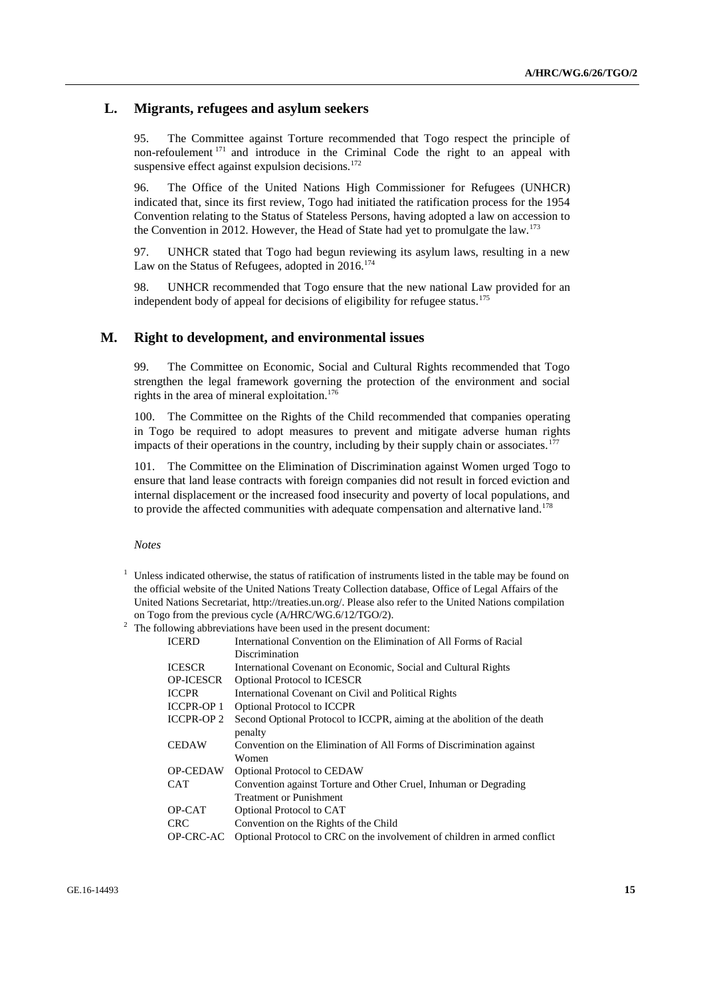### **L. Migrants, refugees and asylum seekers**

95. The Committee against Torture recommended that Togo respect the principle of non-refoulement <sup>171</sup> and introduce in the Criminal Code the right to an appeal with suspensive effect against expulsion decisions. $172$ 

96. The Office of the United Nations High Commissioner for Refugees (UNHCR) indicated that, since its first review, Togo had initiated the ratification process for the 1954 Convention relating to the Status of Stateless Persons, having adopted a law on accession to the Convention in 2012. However, the Head of State had yet to promulgate the law.<sup>173</sup>

97. UNHCR stated that Togo had begun reviewing its asylum laws, resulting in a new Law on the Status of Refugees, adopted in 2016.<sup>174</sup>

98. UNHCR recommended that Togo ensure that the new national Law provided for an independent body of appeal for decisions of eligibility for refugee status.<sup>175</sup>

### **M. Right to development, and environmental issues**

99. The Committee on Economic, Social and Cultural Rights recommended that Togo strengthen the legal framework governing the protection of the environment and social rights in the area of mineral exploitation.<sup>176</sup>

100. The Committee on the Rights of the Child recommended that companies operating in Togo be required to adopt measures to prevent and mitigate adverse human rights impacts of their operations in the country, including by their supply chain or associates.<sup>177</sup>

101. The Committee on the Elimination of Discrimination against Women urged Togo to ensure that land lease contracts with foreign companies did not result in forced eviction and internal displacement or the increased food insecurity and poverty of local populations, and to provide the affected communities with adequate compensation and alternative land.<sup>178</sup>

*Notes*

Unless indicated otherwise, the status of ratification of instruments listed in the table may be found on the official website of the United Nations Treaty Collection database, Office of Legal Affairs of the United Nations Secretariat, [http://treaties.un.org/.](http://treaties.un.org/) Please also refer to the United Nations compilation on Togo from the previous cycle (A/HRC/WG.6/12/TGO/2).

<sup>2</sup> The following abbreviations have been used in the present document:

| <b>ICERD</b>     | International Convention on the Elimination of All Forms of Racial        |
|------------------|---------------------------------------------------------------------------|
|                  | Discrimination                                                            |
| <b>ICESCR</b>    | International Covenant on Economic, Social and Cultural Rights            |
| <b>OP-ICESCR</b> | <b>Optional Protocol to ICESCR</b>                                        |
| <b>ICCPR</b>     | International Covenant on Civil and Political Rights                      |
| <b>ICCPR-OP1</b> | <b>Optional Protocol to ICCPR</b>                                         |
| <b>ICCPR-OP2</b> | Second Optional Protocol to ICCPR, aiming at the abolition of the death   |
|                  | penalty                                                                   |
| <b>CEDAW</b>     | Convention on the Elimination of All Forms of Discrimination against      |
|                  | Women                                                                     |
| <b>OP-CEDAW</b>  | <b>Optional Protocol to CEDAW</b>                                         |
| <b>CAT</b>       | Convention against Torture and Other Cruel, Inhuman or Degrading          |
|                  | <b>Treatment or Punishment</b>                                            |
| OP-CAT           | Optional Protocol to CAT                                                  |
| <b>CRC</b>       | Convention on the Rights of the Child                                     |
| OP-CRC-AC        | Optional Protocol to CRC on the involvement of children in armed conflict |
|                  |                                                                           |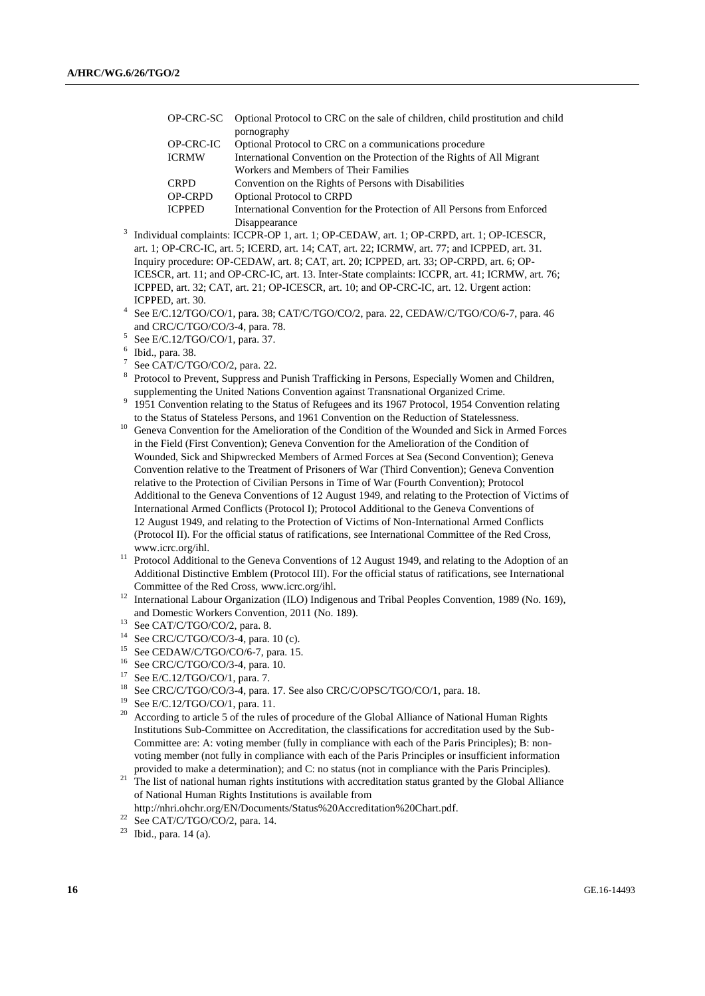|                  | OP-CRC-SC Optional Protocol to CRC on the sale of children, child prostitution and child |
|------------------|------------------------------------------------------------------------------------------|
|                  | pornography                                                                              |
| <b>OP-CRC-IC</b> | Optional Protocol to CRC on a communications procedure                                   |
| <b>ICRMW</b>     | International Convention on the Protection of the Rights of All Migrant                  |
|                  | Workers and Members of Their Families                                                    |
| <b>CRPD</b>      | Convention on the Rights of Persons with Disabilities                                    |
| <b>OP-CRPD</b>   | <b>Optional Protocol to CRPD</b>                                                         |
| <b>ICPPED</b>    | International Convention for the Protection of All Persons from Enforced                 |
|                  | Disappearance                                                                            |

- Disappearance 3 Individual complaints: ICCPR-OP 1, art. 1; OP-CEDAW, art. 1; OP-CRPD, art. 1; OP-ICESCR, art. 1; OP-CRC-IC, art. 5; ICERD, art. 14; CAT, art. 22; ICRMW, art. 77; and ICPPED, art. 31. Inquiry procedure: OP-CEDAW, art. 8; CAT, art. 20; ICPPED, art. 33; OP-CRPD, art. 6; OP-ICESCR, art. 11; and OP-CRC-IC, art. 13. Inter-State complaints: ICCPR, art. 41; ICRMW, art. 76; ICPPED, art. 32; CAT, art. 21; OP-ICESCR, art. 10; and OP-CRC-IC, art. 12. Urgent action: ICPPED, art. 30.
- 4 See E/C.12/TGO/CO/1, para. 38; CAT/C/TGO/CO/2, para. 22, CEDAW/C/TGO/CO/6-7, para. 46 and CRC/C/TGO/CO/3-4, para. 78.
- 5 See E/C.12/TGO/CO/1, para. 37.
- 6 Ibid., para. 38.
- 7 See CAT/C/TGO/CO/2, para. 22.
- 8 Protocol to Prevent, Suppress and Punish Trafficking in Persons, Especially Women and Children, supplementing the United Nations Convention against Transnational Organized Crime.
- 9 1951 Convention relating to the Status of Refugees and its 1967 Protocol, 1954 Convention relating to the Status of Stateless Persons, and 1961 Convention on the Reduction of Statelessness.
- <sup>10</sup> Geneva Convention for the Amelioration of the Condition of the Wounded and Sick in Armed Forces in the Field (First Convention); Geneva Convention for the Amelioration of the Condition of Wounded, Sick and Shipwrecked Members of Armed Forces at Sea (Second Convention); Geneva Convention relative to the Treatment of Prisoners of War (Third Convention); Geneva Convention relative to the Protection of Civilian Persons in Time of War (Fourth Convention); Protocol Additional to the Geneva Conventions of 12 August 1949, and relating to the Protection of Victims of International Armed Conflicts (Protocol I); Protocol Additional to the Geneva Conventions of 12 August 1949, and relating to the Protection of Victims of Non-International Armed Conflicts (Protocol II). For the official status of ratifications, see International Committee of the Red Cross, www.icrc.org/ihl.
- <sup>11</sup> Protocol Additional to the Geneva Conventions of 12 August 1949, and relating to the Adoption of an Additional Distinctive Emblem (Protocol III). For the official status of ratifications, see International Committee of the Red Cross, www.icrc.org/ihl.
- <sup>12</sup> International Labour Organization (ILO) Indigenous and Tribal Peoples Convention, 1989 (No. 169), and Domestic Workers Convention, 2011 (No. 189).
- <sup>13</sup> See CAT/C/TGO/CO/2, para. 8.<br><sup>14</sup> See CDC/C/TCO/CO/2, 4 name
- <sup>14</sup> See CRC/C/TGO/CO/3-4, para. 10 (c).<br><sup>15</sup> See CEDAW/C/TGO/CO/6.7, para. 15
- <sup>15</sup> See CEDAW/C/TGO/CO/6-7, para. 15.<br><sup>16</sup> See CBC/C/TCO/CO/2, 4, para. 10.
- <sup>16</sup> See CRC/C/TGO/CO/3-4, para. 10.<br><sup>17</sup> See E/C 12/TGO/CO/1, para. 7
- See E/C.12/TGO/CO/1, para. 7.
- <sup>18</sup> See CRC/C/TGO/CO/3-4, para. 17. See also CRC/C/OPSC/TGO/CO/1, para. 18.
- See E/C.12/TGO/CO/1, para. 11.
- <sup>20</sup> According to article 5 of the rules of procedure of the Global Alliance of National Human Rights Institutions Sub-Committee on Accreditation, the classifications for accreditation used by the Sub-Committee are: A: voting member (fully in compliance with each of the Paris Principles); B: nonvoting member (not fully in compliance with each of the Paris Principles or insufficient information provided to make a determination); and C: no status (not in compliance with the Paris Principles).
- <sup>21</sup> The list of national human rights institutions with accreditation status granted by the Global Alliance of National Human Rights Institutions is available from
- http://nhri.ohchr.org/EN/Documents/Status%20Accreditation%20Chart.pdf.
- $22$  See CAT/C/TGO/CO/2, para. 14.

 $23$  Ibid., para. 14 (a).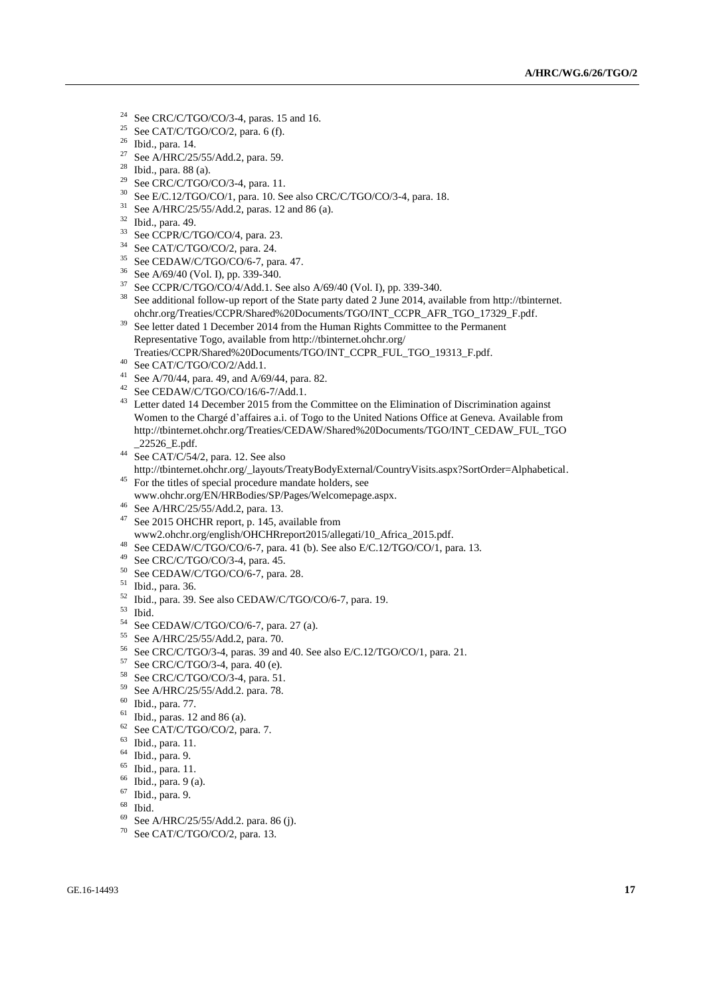- <sup>24</sup> See CRC/C/TGO/CO/3-4, paras. 15 and 16.
- <sup>25</sup> See CAT/C/TGO/CO/2, para. 6 (f).
- <sup>26</sup> Ibid., para. 14.
- <sup>27</sup> See A/HRC/25/55/Add.2, para. 59.
- $28$  Ibid., para. 88 (a).
- <sup>29</sup> See CRC/C/TGO/CO/3-4, para. 11.
- <sup>30</sup> See E/C.12/TGO/CO/1, para. 10. See also CRC/C/TGO/CO/3-4, para. 18.
- $31$  See A/HRC/25/55/Add.2, paras. 12 and 86 (a).
- $32$  Ibid., para. 49.
- See CCPR/C/TGO/CO/4, para. 23.
- <sup>34</sup> See CAT/C/TGO/CO/2, para. 24.
- <sup>35</sup> See CEDAW/C/TGO/CO/6-7, para. 47.<br><sup>36</sup> See A/60/40 (Vel. I) ap 220, 240.
- See A/69/40 (Vol. I), pp. 339-340.
- $37$  See CCPR/C/TGO/CO/4/Add.1. See also A/69/40 (Vol. I), pp. 339-340.
- <sup>38</sup> See additional follow-up report of the State party dated 2 June 2014, available fro[m http://tbinternet.](http://tbinternet.ohchr.org/Treaties/CCPR/Shared%20Documents/TGO/INT_CCPR_AFR_TGO_17329_F.pdf) [ohchr.org/Treaties/CCPR/Shared%20Documents/TGO/INT\\_CCPR\\_AFR\\_TGO\\_17329\\_F.pdf.](http://tbinternet.ohchr.org/Treaties/CCPR/Shared%20Documents/TGO/INT_CCPR_AFR_TGO_17329_F.pdf)
- <sup>39</sup> See letter dated 1 December 2014 from the Human Rights Committee to the Permanent Representative Togo, available from [http://tbinternet.ohchr.org/](http://tbinternet.ohchr.org/Treaties/CCPR/Shared%20Documents/TGO/INT_CCPR_FUL_TGO_19313_F.pdf) [Treaties/CCPR/Shared%20Documents/TGO/INT\\_CCPR\\_FUL\\_TGO\\_19313\\_F.pdf.](http://tbinternet.ohchr.org/Treaties/CCPR/Shared%20Documents/TGO/INT_CCPR_FUL_TGO_19313_F.pdf)
- $^{40}\,$  See CAT/C/TGO/CO/2/Add.1.
- <sup>41</sup> See A/70/44, para. 49, and A/69/44, para. 82.
- <sup>42</sup> See CEDAW/C/TGO/CO/16/6-7/Add.1.
- <sup>43</sup> Letter dated 14 December 2015 from the Committee on the Elimination of Discrimination against Women to the Chargé d'affaires a.i. of Togo to the United Nations Office at Geneva. Available from [http://tbinternet.ohchr.org/Treaties/CEDAW/Shared%20Documents/TGO/INT\\_CEDAW\\_FUL\\_TGO](http://tbinternet.ohchr.org/Treaties/CEDAW/Shared%20Documents/TGO/INT_CEDAW_FUL_TGO_22526_E.pdf) [\\_22526\\_E.pdf.](http://tbinternet.ohchr.org/Treaties/CEDAW/Shared%20Documents/TGO/INT_CEDAW_FUL_TGO_22526_E.pdf)
- <sup>44</sup> See CAT/C/54/2, para. 12. See also
- [http://tbinternet.ohchr.org/\\_layouts/TreatyBodyExternal/CountryVisits.aspx?SortOrder=Alphabetical.](http://tbinternet.ohchr.org/_layouts/TreatyBodyExternal/CountryVisits.aspx?SortOrder=Alphabetical) <sup>45</sup> For the titles of special procedure mandate holders, see
- www.ohchr.org/EN/HRBodies/SP/Pages/Welcomepage.aspx.
- <sup>46</sup> See A/HRC/25/55/Add.2, para. 13.
- <sup>47</sup> See 2015 OHCHR report, p. 145, available from [www2.ohchr.org/english/OHCHRreport2015/allegati/10\\_Africa\\_2015.pdf.](file:///C:/Users/srey/AppData/Local/Temp/notesEEFAD1/www2.ohchr.org/english/OHCHRreport2015/allegati/10_Africa_2015.pdf)
- <sup>48</sup> See CEDAW/C/TGO/CO/6-7, para. 41 (b). See also E/C.12/TGO/CO/1, para. 13.
- <sup>49</sup> See CRC/C/TGO/CO/3-4, para. 45.
- <sup>50</sup> See CEDAW/C/TGO/CO/6-7, para. 28.
- <sup>51</sup> Ibid., para. 36.
- <sup>52</sup> Ibid., para. 39. See also CEDAW/C/TGO/CO/6-7, para. 19.
- $\begin{array}{c}\n 53 \\
54 \\
6\n \end{array}$
- <sup>54</sup> See CEDAW/C/TGO/CO/6-7, para. 27 (a).<br><sup>55</sup> See A/HPC/25/55/Add 2, para. 70
- $^{55}$  See A/HRC/25/55/Add.2, para. 70.<br> $^{56}$  See CRC/C/TGO/2.4, paras. 30 apr
- <sup>56</sup> See CRC/C/TGO/3-4, paras. 39 and 40. See also E/C.12/TGO/CO/1, para. 21.
- See CRC/C/TGO/3-4, para. 40 (e).
- <sup>58</sup> See CRC/C/TGO/CO/3-4, para. 51.
- <sup>59</sup> See A/HRC/25/55/Add.2. para. 78.
- <sup>60</sup> Ibid., para. 77.
- $61$  Ibid., paras. 12 and 86 (a).
- <sup>62</sup> See CAT/C/TGO/CO/2, para. 7.
- <sup>63</sup> Ibid., para. 11.
- <sup>64</sup> Ibid., para. 9.
- <sup>65</sup> Ibid., para. 11.
- <sup>66</sup> Ibid., para. 9 (a).
- <sup>67</sup> Ibid., para. 9.
- <sup>68</sup> Ibid.
- <sup>69</sup> See A/HRC/25/55/Add.2. para. 86 (j).
- <sup>70</sup> See CAT/C/TGO/CO/2, para. 13.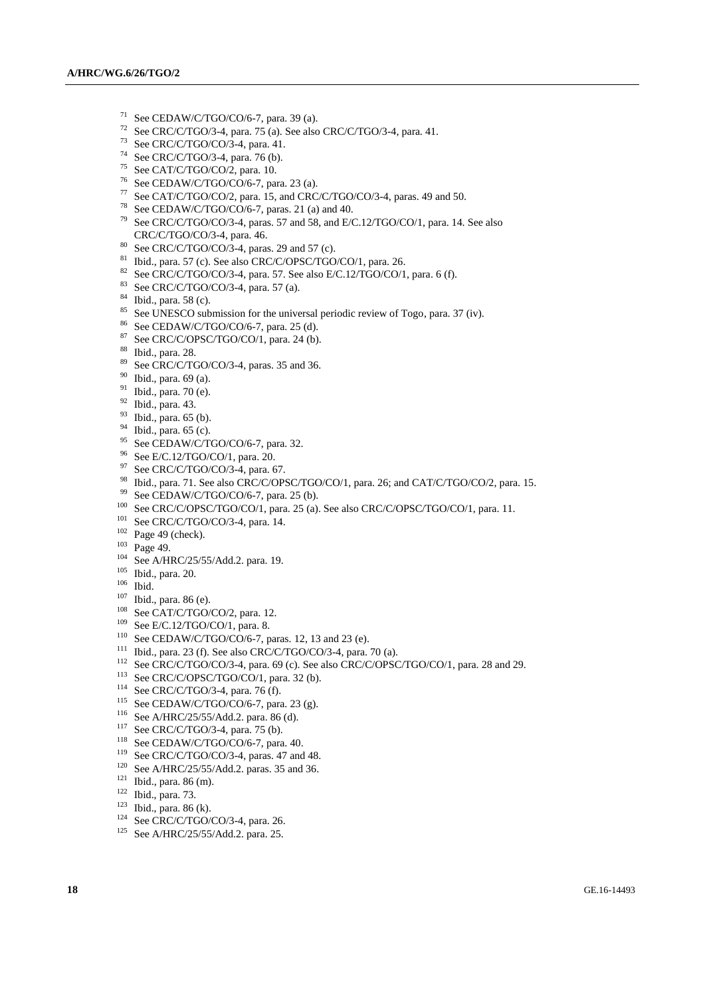- See CEDAW/C/TGO/CO/6-7, para. 39 (a).
- <sup>72</sup> See CRC/C/TGO/3-4, para. 75 (a). See also CRC/C/TGO/3-4, para. 41.
- See CRC/C/TGO/CO/3-4, para. 41.
- <sup>74</sup> See CRC/C/TGO/3-4, para. 76 (b).
- See CAT/C/TGO/CO/2, para. 10.
- <sup>76</sup> See CEDAW/C/TGO/CO/6-7, para. 23 (a).
- See CAT/C/TGO/CO/2, para. 15, and CRC/C/TGO/CO/3-4, paras. 49 and 50.
- <sup>78</sup> See CEDAW/C/TGO/CO/6-7, paras. 21 (a) and 40.
- See CRC/C/TGO/CO/3-4, paras. 57 and 58, and E/C.12/TGO/CO/1, para. 14. See also CRC/C/TGO/CO/3-4, para. 46.
- See CRC/C/TGO/CO/3-4, paras. 29 and 57 (c).
- <sup>81</sup> Ibid., para. 57 (c). See also CRC/C/OPSC/TGO/CO/1, para. 26.<br><sup>82</sup> See CBC/C/TCO/CO/2, 4, para. 57, See also E/C 12/TCO/CO/1
- See CRC/C/TGO/CO/3-4, para. 57. See also E/C.12/TGO/CO/1, para. 6 (f).
- See CRC/C/TGO/CO/3-4, para. 57 (a).
- $^{84}$  Ibid., para. 58 (c).
- <sup>85</sup> See UNESCO submission for the universal periodic review of Togo, para. 37 (iv).
- <sup>86</sup> See CEDAW/C/TGO/CO/6-7, para. 25 (d).<br><sup>87</sup> See CDC/C/ODSC/TGO/CO/1, para. 24 (h).
- See CRC/C/OPSC/TGO/CO/1, para. 24 (b).
- Ibid., para. 28.
- 89 See CRC/C/TGO/CO/3-4, paras. 35 and 36.
- Ibid., para. 69 (a).
- Ibid., para. 70 (e).
- Ibid., para. 43.
- Ibid., para. 65 (b).
- Ibid., para. 65 (c).
- <sup>95</sup> See CEDAW/C/TGO/CO/6-7, para. 32.
- See E/C.12/TGO/CO/1, para. 20.
- <sup>97</sup> See CRC/C/TGO/CO/3-4, para. 67.
- Ibid., para. 71. See also CRC/C/OPSC/TGO/CO/1, para. 26; and CAT/C/TGO/CO/2, para. 15.
- See CEDAW/C/TGO/CO/6-7, para. 25 (b).
- See CRC/C/OPSC/TGO/CO/1, para. 25 (a). See also CRC/C/OPSC/TGO/CO/1, para. 11.
- See CRC/C/TGO/CO/3-4, para. 14.
- Page 49 (check).
- Page 49.
- <sup>104</sup> See A/HRC/25/55/Add.2. para. 19.
- Ibid., para. 20.
- Ibid.
- Ibid., para. 86 (e).
- See CAT/C/TGO/CO/2, para. 12.
- See E/C.12/TGO/CO/1, para. 8.
- <sup>110</sup> See CEDAW/C/TGO/CO/6-7, paras. 12, 13 and 23 (e).
- <sup>111</sup> Ibid., para. 23 (f). See also CRC/C/TGO/CO/3-4, para. 70 (a).
- <sup>112</sup> See CRC/C/TGO/CO/3-4, para. 69 (c). See also CRC/C/OPSC/TGO/CO/1, para. 28 and 29.
- <sup>113</sup> See CRC/C/OPSC/TGO/CO/1, para. 32 (b).
- See CRC/C/TGO/3-4, para. 76 (f).
- <sup>115</sup> See CEDAW/C/TGO/CO/6-7, para. 23 (g).
- See A/HRC/25/55/Add.2. para. 86 (d).
- See CRC/C/TGO/3-4, para. 75 (b).
- See CEDAW/C/TGO/CO/6-7, para. 40.
- <sup>119</sup> See CRC/C/TGO/CO/3-4, paras. 47 and 48.
- See A/HRC/25/55/Add.2. paras. 35 and 36.
- Ibid., para. 86 (m).
- Ibid., para. 73.
- Ibid., para. 86 (k).
- See CRC/C/TGO/CO/3-4, para. 26.
- See A/HRC/25/55/Add.2. para. 25.